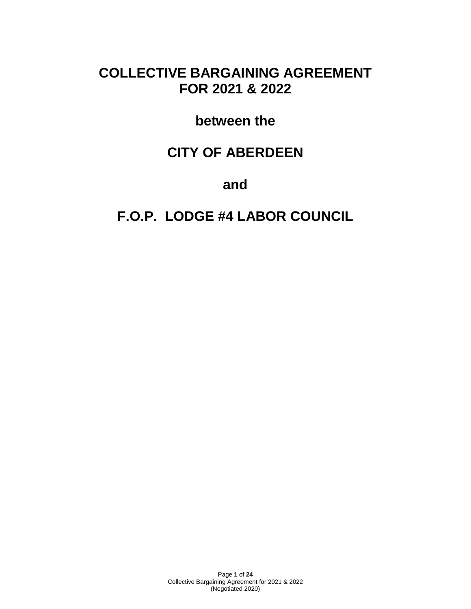# **COLLECTIVE BARGAINING AGREEMENT FOR 2021 & 2022**

# **between the**

# **CITY OF ABERDEEN**

**and**

# **F.O.P. LODGE #4 LABOR COUNCIL**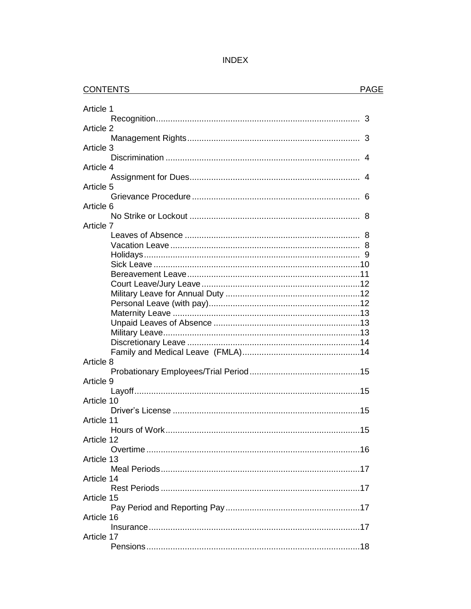| IN | ٩D |  |
|----|----|--|
|----|----|--|

| <b>CONTENTS</b> | <b>PAGE</b> |
|-----------------|-------------|
| Article 1       |             |
|                 |             |
| Article 2       |             |
|                 |             |
| Article 3       |             |
| Article 4       |             |
|                 |             |
| Article 5       |             |
|                 |             |
| Article 6       |             |
|                 |             |
| Article 7       |             |
|                 |             |
|                 |             |
|                 |             |
|                 |             |
|                 |             |
|                 |             |
|                 |             |
|                 |             |
|                 |             |
|                 |             |
|                 |             |
| Article 8       |             |
|                 |             |
| Article 9       |             |
|                 |             |
| Article 10      |             |
|                 |             |
| Article 11      |             |
| Article 12      |             |
|                 |             |
| Article 13      |             |
|                 |             |
| Article 14      |             |
|                 |             |
| Article 15      |             |
|                 |             |
| Article 16      |             |
| Article 17      |             |
|                 |             |
|                 |             |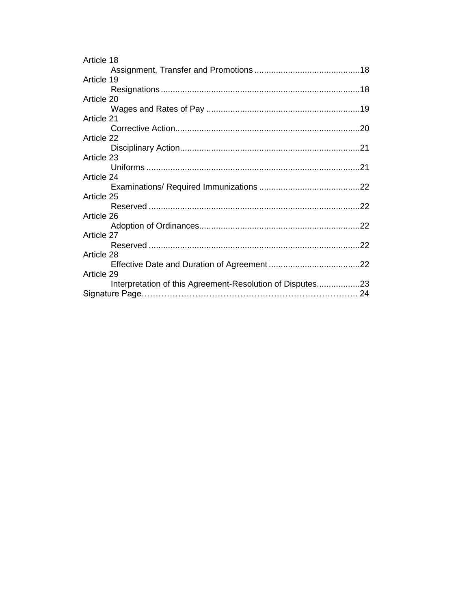| Article 18                                                |     |
|-----------------------------------------------------------|-----|
|                                                           |     |
| Article 19                                                |     |
|                                                           |     |
| Article 20                                                |     |
|                                                           |     |
| Article 21                                                |     |
|                                                           |     |
| Article 22                                                |     |
|                                                           |     |
| Article 23                                                |     |
|                                                           |     |
| Article 24                                                |     |
|                                                           |     |
| Article 25                                                |     |
|                                                           | .22 |
| Article 26                                                |     |
|                                                           | .22 |
| Article 27                                                |     |
|                                                           | 22  |
| Article 28                                                |     |
|                                                           |     |
| Article 29                                                |     |
| Interpretation of this Agreement-Resolution of Disputes23 |     |
|                                                           |     |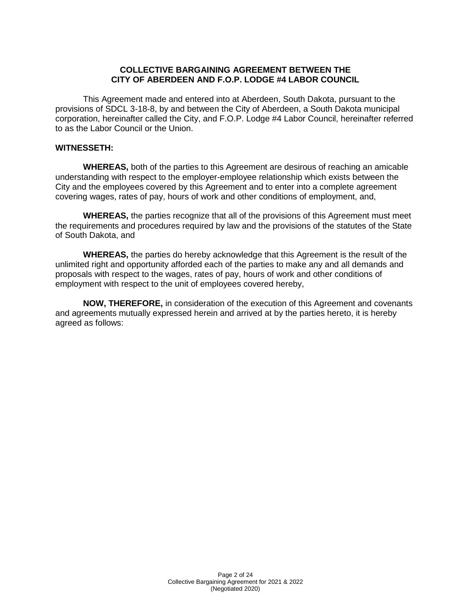#### **COLLECTIVE BARGAINING AGREEMENT BETWEEN THE CITY OF ABERDEEN AND F.O.P. LODGE #4 LABOR COUNCIL**

This Agreement made and entered into at Aberdeen, South Dakota, pursuant to the provisions of SDCL 3-18-8, by and between the City of Aberdeen, a South Dakota municipal corporation, hereinafter called the City, and F.O.P. Lodge #4 Labor Council, hereinafter referred to as the Labor Council or the Union.

#### **WITNESSETH:**

**WHEREAS,** both of the parties to this Agreement are desirous of reaching an amicable understanding with respect to the employer-employee relationship which exists between the City and the employees covered by this Agreement and to enter into a complete agreement covering wages, rates of pay, hours of work and other conditions of employment, and,

**WHEREAS,** the parties recognize that all of the provisions of this Agreement must meet the requirements and procedures required by law and the provisions of the statutes of the State of South Dakota, and

**WHEREAS,** the parties do hereby acknowledge that this Agreement is the result of the unlimited right and opportunity afforded each of the parties to make any and all demands and proposals with respect to the wages, rates of pay, hours of work and other conditions of employment with respect to the unit of employees covered hereby,

**NOW, THEREFORE,** in consideration of the execution of this Agreement and covenants and agreements mutually expressed herein and arrived at by the parties hereto, it is hereby agreed as follows: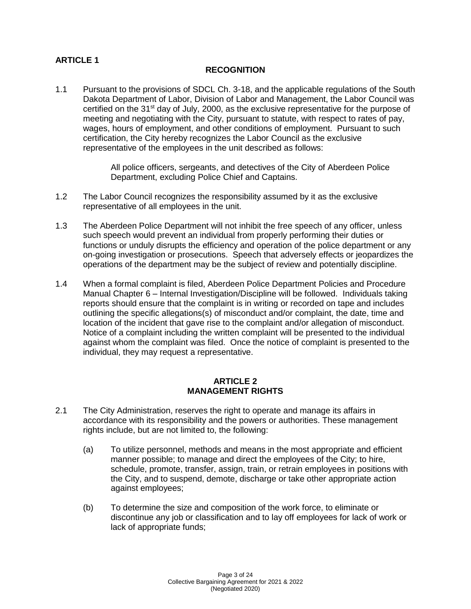# **ARTICLE 1**

#### **RECOGNITION**

1.1 Pursuant to the provisions of SDCL Ch. 3-18, and the applicable regulations of the South Dakota Department of Labor, Division of Labor and Management, the Labor Council was certified on the  $31<sup>st</sup>$  day of July, 2000, as the exclusive representative for the purpose of meeting and negotiating with the City, pursuant to statute, with respect to rates of pay, wages, hours of employment, and other conditions of employment. Pursuant to such certification, the City hereby recognizes the Labor Council as the exclusive representative of the employees in the unit described as follows:

> All police officers, sergeants, and detectives of the City of Aberdeen Police Department, excluding Police Chief and Captains.

- 1.2 The Labor Council recognizes the responsibility assumed by it as the exclusive representative of all employees in the unit.
- 1.3 The Aberdeen Police Department will not inhibit the free speech of any officer, unless such speech would prevent an individual from properly performing their duties or functions or unduly disrupts the efficiency and operation of the police department or any on-going investigation or prosecutions. Speech that adversely effects or jeopardizes the operations of the department may be the subject of review and potentially discipline.
- 1.4 When a formal complaint is filed, Aberdeen Police Department Policies and Procedure Manual Chapter 6 – Internal Investigation/Discipline will be followed. Individuals taking reports should ensure that the complaint is in writing or recorded on tape and includes outlining the specific allegations(s) of misconduct and/or complaint, the date, time and location of the incident that gave rise to the complaint and/or allegation of misconduct. Notice of a complaint including the written complaint will be presented to the individual against whom the complaint was filed. Once the notice of complaint is presented to the individual, they may request a representative.

## **ARTICLE 2 MANAGEMENT RIGHTS**

- 2.1 The City Administration, reserves the right to operate and manage its affairs in accordance with its responsibility and the powers or authorities. These management rights include, but are not limited to, the following:
	- (a) To utilize personnel, methods and means in the most appropriate and efficient manner possible; to manage and direct the employees of the City; to hire, schedule, promote, transfer, assign, train, or retrain employees in positions with the City, and to suspend, demote, discharge or take other appropriate action against employees;
	- (b) To determine the size and composition of the work force, to eliminate or discontinue any job or classification and to lay off employees for lack of work or lack of appropriate funds;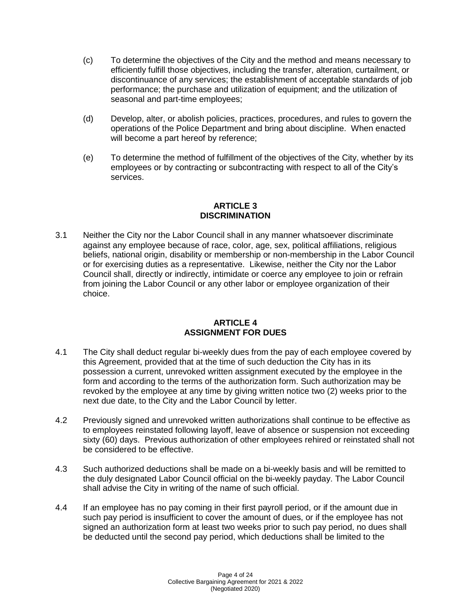- (c) To determine the objectives of the City and the method and means necessary to efficiently fulfill those objectives, including the transfer, alteration, curtailment, or discontinuance of any services; the establishment of acceptable standards of job performance; the purchase and utilization of equipment; and the utilization of seasonal and part-time employees;
- (d) Develop, alter, or abolish policies, practices, procedures, and rules to govern the operations of the Police Department and bring about discipline. When enacted will become a part hereof by reference;
- (e) To determine the method of fulfillment of the objectives of the City, whether by its employees or by contracting or subcontracting with respect to all of the City's services.

## **ARTICLE 3 DISCRIMINATION**

3.1 Neither the City nor the Labor Council shall in any manner whatsoever discriminate against any employee because of race, color, age, sex, political affiliations, religious beliefs, national origin, disability or membership or non-membership in the Labor Council or for exercising duties as a representative. Likewise, neither the City nor the Labor Council shall, directly or indirectly, intimidate or coerce any employee to join or refrain from joining the Labor Council or any other labor or employee organization of their choice.

#### **ARTICLE 4 ASSIGNMENT FOR DUES**

- 4.1 The City shall deduct regular bi-weekly dues from the pay of each employee covered by this Agreement, provided that at the time of such deduction the City has in its possession a current, unrevoked written assignment executed by the employee in the form and according to the terms of the authorization form. Such authorization may be revoked by the employee at any time by giving written notice two (2) weeks prior to the next due date, to the City and the Labor Council by letter.
- 4.2 Previously signed and unrevoked written authorizations shall continue to be effective as to employees reinstated following layoff, leave of absence or suspension not exceeding sixty (60) days. Previous authorization of other employees rehired or reinstated shall not be considered to be effective.
- 4.3 Such authorized deductions shall be made on a bi-weekly basis and will be remitted to the duly designated Labor Council official on the bi-weekly payday. The Labor Council shall advise the City in writing of the name of such official.
- 4.4 If an employee has no pay coming in their first payroll period, or if the amount due in such pay period is insufficient to cover the amount of dues, or if the employee has not signed an authorization form at least two weeks prior to such pay period, no dues shall be deducted until the second pay period, which deductions shall be limited to the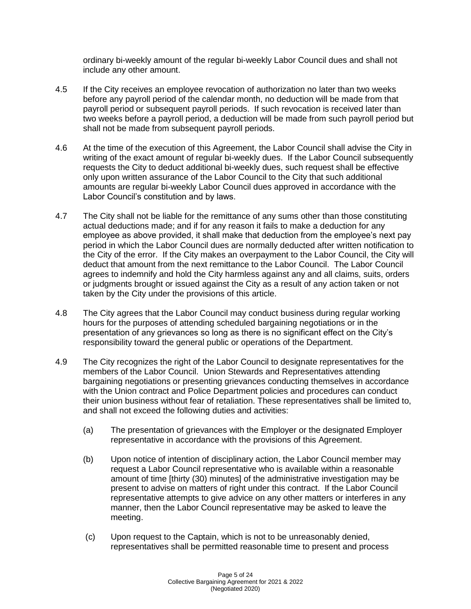ordinary bi-weekly amount of the regular bi-weekly Labor Council dues and shall not include any other amount.

- 4.5 If the City receives an employee revocation of authorization no later than two weeks before any payroll period of the calendar month, no deduction will be made from that payroll period or subsequent payroll periods. If such revocation is received later than two weeks before a payroll period, a deduction will be made from such payroll period but shall not be made from subsequent payroll periods.
- 4.6 At the time of the execution of this Agreement, the Labor Council shall advise the City in writing of the exact amount of regular bi-weekly dues. If the Labor Council subsequently requests the City to deduct additional bi-weekly dues, such request shall be effective only upon written assurance of the Labor Council to the City that such additional amounts are regular bi-weekly Labor Council dues approved in accordance with the Labor Council's constitution and by laws.
- 4.7 The City shall not be liable for the remittance of any sums other than those constituting actual deductions made; and if for any reason it fails to make a deduction for any employee as above provided, it shall make that deduction from the employee's next pay period in which the Labor Council dues are normally deducted after written notification to the City of the error. If the City makes an overpayment to the Labor Council, the City will deduct that amount from the next remittance to the Labor Council. The Labor Council agrees to indemnify and hold the City harmless against any and all claims, suits, orders or judgments brought or issued against the City as a result of any action taken or not taken by the City under the provisions of this article.
- 4.8 The City agrees that the Labor Council may conduct business during regular working hours for the purposes of attending scheduled bargaining negotiations or in the presentation of any grievances so long as there is no significant effect on the City's responsibility toward the general public or operations of the Department.
- 4.9 The City recognizes the right of the Labor Council to designate representatives for the members of the Labor Council. Union Stewards and Representatives attending bargaining negotiations or presenting grievances conducting themselves in accordance with the Union contract and Police Department policies and procedures can conduct their union business without fear of retaliation. These representatives shall be limited to, and shall not exceed the following duties and activities:
	- (a) The presentation of grievances with the Employer or the designated Employer representative in accordance with the provisions of this Agreement.
	- (b) Upon notice of intention of disciplinary action, the Labor Council member may request a Labor Council representative who is available within a reasonable amount of time [thirty (30) minutes] of the administrative investigation may be present to advise on matters of right under this contract. If the Labor Council representative attempts to give advice on any other matters or interferes in any manner, then the Labor Council representative may be asked to leave the meeting.
	- (c) Upon request to the Captain, which is not to be unreasonably denied, representatives shall be permitted reasonable time to present and process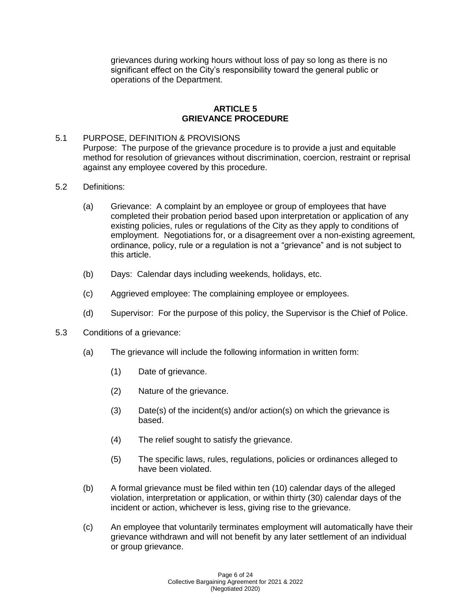grievances during working hours without loss of pay so long as there is no significant effect on the City's responsibility toward the general public or operations of the Department.

### **ARTICLE 5 GRIEVANCE PROCEDURE**

#### 5.1 PURPOSE, DEFINITION & PROVISIONS

Purpose: The purpose of the grievance procedure is to provide a just and equitable method for resolution of grievances without discrimination, coercion, restraint or reprisal against any employee covered by this procedure.

- 5.2 Definitions:
	- (a) Grievance: A complaint by an employee or group of employees that have completed their probation period based upon interpretation or application of any existing policies, rules or regulations of the City as they apply to conditions of employment. Negotiations for, or a disagreement over a non-existing agreement, ordinance, policy, rule or a regulation is not a "grievance" and is not subject to this article.
	- (b) Days: Calendar days including weekends, holidays, etc.
	- (c) Aggrieved employee: The complaining employee or employees.
	- (d) Supervisor: For the purpose of this policy, the Supervisor is the Chief of Police.
- 5.3 Conditions of a grievance:
	- (a) The grievance will include the following information in written form:
		- (1) Date of grievance.
		- (2) Nature of the grievance.
		- (3) Date(s) of the incident(s) and/or action(s) on which the grievance is based.
		- (4) The relief sought to satisfy the grievance.
		- (5) The specific laws, rules, regulations, policies or ordinances alleged to have been violated.
	- (b) A formal grievance must be filed within ten (10) calendar days of the alleged violation, interpretation or application, or within thirty (30) calendar days of the incident or action, whichever is less, giving rise to the grievance.
	- (c) An employee that voluntarily terminates employment will automatically have their grievance withdrawn and will not benefit by any later settlement of an individual or group grievance.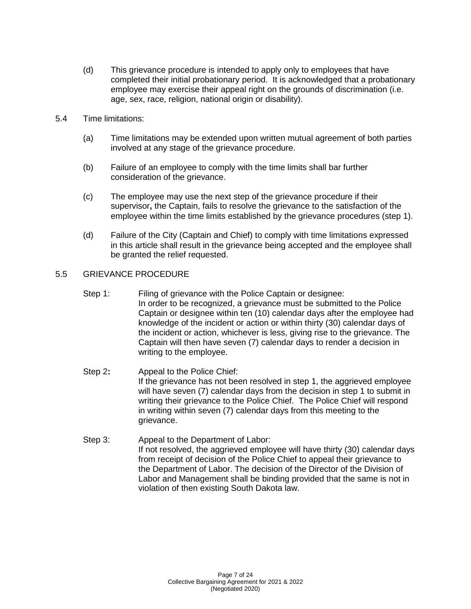- (d) This grievance procedure is intended to apply only to employees that have completed their initial probationary period. It is acknowledged that a probationary employee may exercise their appeal right on the grounds of discrimination (i.e. age, sex, race, religion, national origin or disability).
- 5.4 Time limitations:
	- (a) Time limitations may be extended upon written mutual agreement of both parties involved at any stage of the grievance procedure.
	- (b) Failure of an employee to comply with the time limits shall bar further consideration of the grievance.
	- (c) The employee may use the next step of the grievance procedure if their supervisor**,** the Captain, fails to resolve the grievance to the satisfaction of the employee within the time limits established by the grievance procedures (step 1).
	- (d) Failure of the City (Captain and Chief) to comply with time limitations expressed in this article shall result in the grievance being accepted and the employee shall be granted the relief requested.

## 5.5 GRIEVANCE PROCEDURE

- Step 1: Filing of grievance with the Police Captain or designee: In order to be recognized, a grievance must be submitted to the Police Captain or designee within ten (10) calendar days after the employee had knowledge of the incident or action or within thirty (30) calendar days of the incident or action, whichever is less, giving rise to the grievance. The Captain will then have seven (7) calendar days to render a decision in writing to the employee.
- Step 2**:** Appeal to the Police Chief: If the grievance has not been resolved in step 1, the aggrieved employee will have seven (7) calendar days from the decision in step 1 to submit in writing their grievance to the Police Chief. The Police Chief will respond in writing within seven (7) calendar days from this meeting to the grievance.
- Step 3: Appeal to the Department of Labor: If not resolved, the aggrieved employee will have thirty (30) calendar days from receipt of decision of the Police Chief to appeal their grievance to the Department of Labor. The decision of the Director of the Division of Labor and Management shall be binding provided that the same is not in violation of then existing South Dakota law.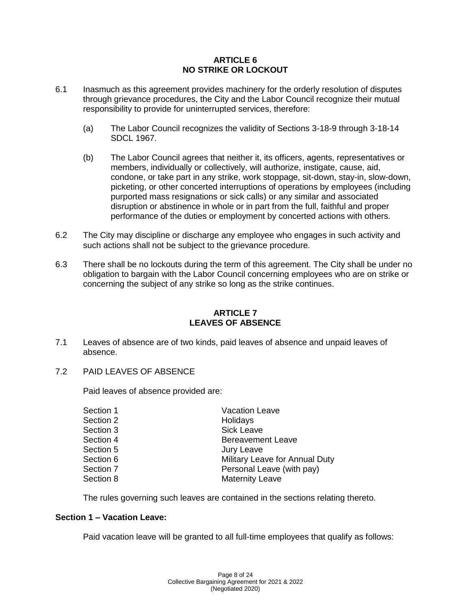#### **ARTICLE 6 NO STRIKE OR LOCKOUT**

- 6.1 Inasmuch as this agreement provides machinery for the orderly resolution of disputes through grievance procedures, the City and the Labor Council recognize their mutual responsibility to provide for uninterrupted services, therefore:
	- (a) The Labor Council recognizes the validity of Sections 3-18-9 through 3-18-14 SDCL 1967.
	- (b) The Labor Council agrees that neither it, its officers, agents, representatives or members, individually or collectively, will authorize, instigate, cause, aid, condone, or take part in any strike, work stoppage, sit-down, stay-in, slow-down, picketing, or other concerted interruptions of operations by employees (including purported mass resignations or sick calls) or any similar and associated disruption or abstinence in whole or in part from the full, faithful and proper performance of the duties or employment by concerted actions with others.
- 6.2 The City may discipline or discharge any employee who engages in such activity and such actions shall not be subject to the grievance procedure.
- 6.3 There shall be no lockouts during the term of this agreement. The City shall be under no obligation to bargain with the Labor Council concerning employees who are on strike or concerning the subject of any strike so long as the strike continues.

#### **ARTICLE 7 LEAVES OF ABSENCE**

- 7.1 Leaves of absence are of two kinds, paid leaves of absence and unpaid leaves of absence.
- 7.2 PAID LEAVES OF ABSENCE

Paid leaves of absence provided are:

| Section 1 | <b>Vacation Leave</b>          |
|-----------|--------------------------------|
| Section 2 | Holidays                       |
| Section 3 | Sick Leave                     |
| Section 4 | <b>Bereavement Leave</b>       |
| Section 5 | Jury Leave                     |
| Section 6 | Military Leave for Annual Duty |
| Section 7 | Personal Leave (with pay)      |
| Section 8 | <b>Maternity Leave</b>         |
|           |                                |

The rules governing such leaves are contained in the sections relating thereto.

#### **Section 1 – Vacation Leave:**

Paid vacation leave will be granted to all full-time employees that qualify as follows: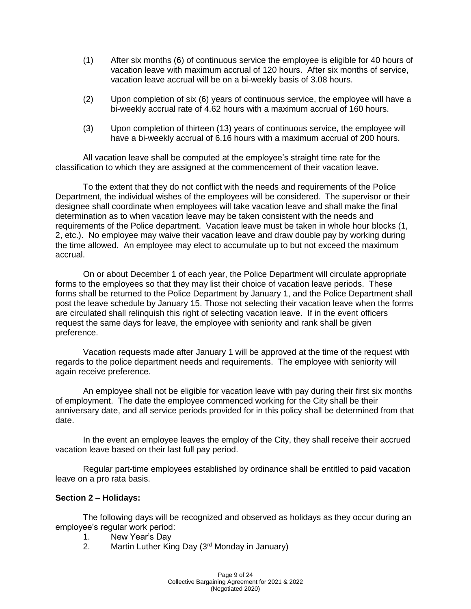- (1) After six months (6) of continuous service the employee is eligible for 40 hours of vacation leave with maximum accrual of 120 hours. After six months of service, vacation leave accrual will be on a bi-weekly basis of 3.08 hours.
- (2) Upon completion of six (6) years of continuous service, the employee will have a bi-weekly accrual rate of 4.62 hours with a maximum accrual of 160 hours.
- (3) Upon completion of thirteen (13) years of continuous service, the employee will have a bi-weekly accrual of 6.16 hours with a maximum accrual of 200 hours.

All vacation leave shall be computed at the employee's straight time rate for the classification to which they are assigned at the commencement of their vacation leave.

To the extent that they do not conflict with the needs and requirements of the Police Department, the individual wishes of the employees will be considered. The supervisor or their designee shall coordinate when employees will take vacation leave and shall make the final determination as to when vacation leave may be taken consistent with the needs and requirements of the Police department. Vacation leave must be taken in whole hour blocks (1, 2, etc.).No employee may waive their vacation leave and draw double pay by working during the time allowed. An employee may elect to accumulate up to but not exceed the maximum accrual.

On or about December 1 of each year, the Police Department will circulate appropriate forms to the employees so that they may list their choice of vacation leave periods. These forms shall be returned to the Police Department by January 1, and the Police Department shall post the leave schedule by January 15. Those not selecting their vacation leave when the forms are circulated shall relinquish this right of selecting vacation leave. If in the event officers request the same days for leave, the employee with seniority and rank shall be given preference.

Vacation requests made after January 1 will be approved at the time of the request with regards to the police department needs and requirements. The employee with seniority will again receive preference.

An employee shall not be eligible for vacation leave with pay during their first six months of employment. The date the employee commenced working for the City shall be their anniversary date, and all service periods provided for in this policy shall be determined from that date.

In the event an employee leaves the employ of the City, they shall receive their accrued vacation leave based on their last full pay period.

Regular part-time employees established by ordinance shall be entitled to paid vacation leave on a pro rata basis.

## **Section 2 – Holidays:**

The following days will be recognized and observed as holidays as they occur during an employee's regular work period:

- 1. New Year's Day
- 2. Martin Luther King Day  $(3<sup>rd</sup>$  Monday in January)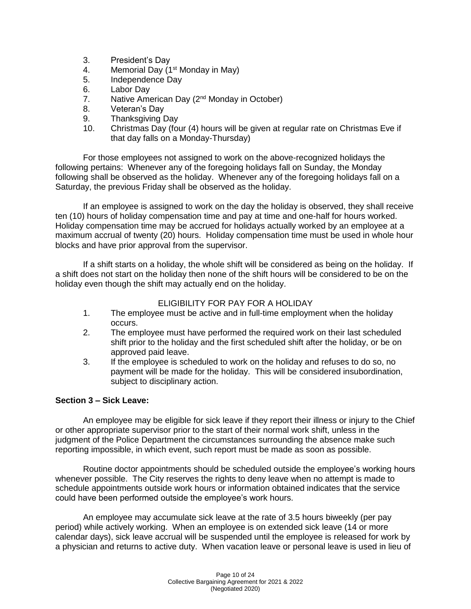- 3. President's Day
- 4. Memorial Day  $(1<sup>st</sup>$  Monday in May)
- 5. Independence Day
- 6. Labor Day
- 7. Native American Day (2<sup>nd</sup> Monday in October)
- 8. Veteran's Day
- 9. Thanksgiving Day
- 10. Christmas Day (four (4) hours will be given at regular rate on Christmas Eve if that day falls on a Monday-Thursday)

For those employees not assigned to work on the above-recognized holidays the following pertains: Whenever any of the foregoing holidays fall on Sunday, the Monday following shall be observed as the holiday. Whenever any of the foregoing holidays fall on a Saturday, the previous Friday shall be observed as the holiday.

If an employee is assigned to work on the day the holiday is observed, they shall receive ten (10) hours of holiday compensation time and pay at time and one-half for hours worked. Holiday compensation time may be accrued for holidays actually worked by an employee at a maximum accrual of twenty (20) hours. Holiday compensation time must be used in whole hour blocks and have prior approval from the supervisor.

If a shift starts on a holiday, the whole shift will be considered as being on the holiday. If a shift does not start on the holiday then none of the shift hours will be considered to be on the holiday even though the shift may actually end on the holiday.

#### ELIGIBILITY FOR PAY FOR A HOLIDAY

- 1. The employee must be active and in full-time employment when the holiday occurs.
- 2. The employee must have performed the required work on their last scheduled shift prior to the holiday and the first scheduled shift after the holiday, or be on approved paid leave.
- 3. If the employee is scheduled to work on the holiday and refuses to do so, no payment will be made for the holiday. This will be considered insubordination, subject to disciplinary action.

## **Section 3 – Sick Leave:**

An employee may be eligible for sick leave if they report their illness or injury to the Chief or other appropriate supervisor prior to the start of their normal work shift, unless in the judgment of the Police Department the circumstances surrounding the absence make such reporting impossible, in which event, such report must be made as soon as possible.

Routine doctor appointments should be scheduled outside the employee's working hours whenever possible. The City reserves the rights to deny leave when no attempt is made to schedule appointments outside work hours or information obtained indicates that the service could have been performed outside the employee's work hours.

An employee may accumulate sick leave at the rate of 3.5 hours biweekly (per pay period) while actively working. When an employee is on extended sick leave (14 or more calendar days), sick leave accrual will be suspended until the employee is released for work by a physician and returns to active duty. When vacation leave or personal leave is used in lieu of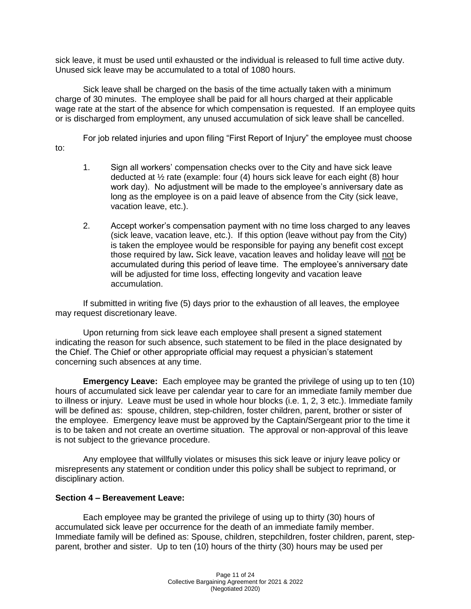sick leave, it must be used until exhausted or the individual is released to full time active duty. Unused sick leave may be accumulated to a total of 1080 hours.

Sick leave shall be charged on the basis of the time actually taken with a minimum charge of 30 minutes. The employee shall be paid for all hours charged at their applicable wage rate at the start of the absence for which compensation is requested. If an employee quits or is discharged from employment, any unused accumulation of sick leave shall be cancelled.

For job related injuries and upon filing "First Report of Injury" the employee must choose to:

- 1. Sign all workers' compensation checks over to the City and have sick leave deducted at ½ rate (example: four (4) hours sick leave for each eight (8) hour work day). No adjustment will be made to the employee's anniversary date as long as the employee is on a paid leave of absence from the City (sick leave, vacation leave, etc.).
- 2. Accept worker's compensation payment with no time loss charged to any leaves (sick leave, vacation leave, etc.). If this option (leave without pay from the City) is taken the employee would be responsible for paying any benefit cost except those required by law**.** Sick leave, vacation leaves and holiday leave will not be accumulated during this period of leave time. The employee's anniversary date will be adjusted for time loss, effecting longevity and vacation leave accumulation.

If submitted in writing five (5) days prior to the exhaustion of all leaves, the employee may request discretionary leave.

Upon returning from sick leave each employee shall present a signed statement indicating the reason for such absence, such statement to be filed in the place designated by the Chief. The Chief or other appropriate official may request a physician's statement concerning such absences at any time.

**Emergency Leave:** Each employee may be granted the privilege of using up to ten (10) hours of accumulated sick leave per calendar year to care for an immediate family member due to illness or injury. Leave must be used in whole hour blocks (i.e. 1, 2, 3 etc.). Immediate family will be defined as: spouse, children, step-children, foster children, parent, brother or sister of the employee. Emergency leave must be approved by the Captain/Sergeant prior to the time it is to be taken and not create an overtime situation. The approval or non-approval of this leave is not subject to the grievance procedure.

Any employee that willfully violates or misuses this sick leave or injury leave policy or misrepresents any statement or condition under this policy shall be subject to reprimand, or disciplinary action.

#### **Section 4 – Bereavement Leave:**

Each employee may be granted the privilege of using up to thirty (30) hours of accumulated sick leave per occurrence for the death of an immediate family member. Immediate family will be defined as: Spouse, children, stepchildren, foster children, parent, stepparent, brother and sister. Up to ten (10) hours of the thirty (30) hours may be used per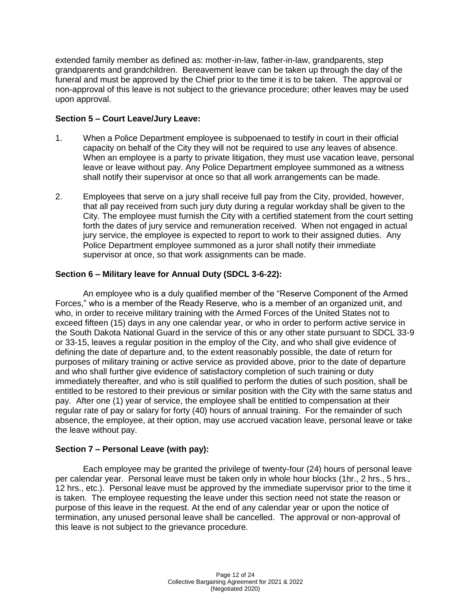extended family member as defined as: mother-in-law, father-in-law, grandparents, step grandparents and grandchildren. Bereavement leave can be taken up through the day of the funeral and must be approved by the Chief prior to the time it is to be taken. The approval or non-approval of this leave is not subject to the grievance procedure; other leaves may be used upon approval.

## **Section 5 – Court Leave/Jury Leave:**

- 1. When a Police Department employee is subpoenaed to testify in court in their official capacity on behalf of the City they will not be required to use any leaves of absence. When an employee is a party to private litigation, they must use vacation leave, personal leave or leave without pay. Any Police Department employee summoned as a witness shall notify their supervisor at once so that all work arrangements can be made.
- 2. Employees that serve on a jury shall receive full pay from the City, provided, however, that all pay received from such jury duty during a regular workday shall be given to the City. The employee must furnish the City with a certified statement from the court setting forth the dates of jury service and remuneration received. When not engaged in actual jury service, the employee is expected to report to work to their assigned duties. Any Police Department employee summoned as a juror shall notify their immediate supervisor at once, so that work assignments can be made.

# **Section 6 – Military leave for Annual Duty (SDCL 3-6-22):**

An employee who is a duly qualified member of the "Reserve Component of the Armed Forces," who is a member of the Ready Reserve, who is a member of an organized unit, and who, in order to receive military training with the Armed Forces of the United States not to exceed fifteen (15) days in any one calendar year, or who in order to perform active service in the South Dakota National Guard in the service of this or any other state pursuant to SDCL 33-9 or 33-15, leaves a regular position in the employ of the City, and who shall give evidence of defining the date of departure and, to the extent reasonably possible, the date of return for purposes of military training or active service as provided above, prior to the date of departure and who shall further give evidence of satisfactory completion of such training or duty immediately thereafter, and who is still qualified to perform the duties of such position, shall be entitled to be restored to their previous or similar position with the City with the same status and pay. After one (1) year of service, the employee shall be entitled to compensation at their regular rate of pay or salary for forty (40) hours of annual training. For the remainder of such absence, the employee, at their option, may use accrued vacation leave, personal leave or take the leave without pay.

## **Section 7 – Personal Leave (with pay):**

Each employee may be granted the privilege of twenty-four (24) hours of personal leave per calendar year. Personal leave must be taken only in whole hour blocks (1hr., 2 hrs., 5 hrs., 12 hrs., etc.). Personal leave must be approved by the immediate supervisor prior to the time it is taken. The employee requesting the leave under this section need not state the reason or purpose of this leave in the request. At the end of any calendar year or upon the notice of termination, any unused personal leave shall be cancelled. The approval or non-approval of this leave is not subject to the grievance procedure.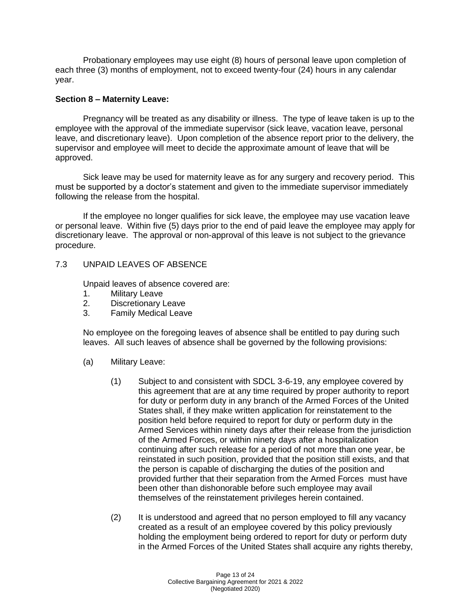Probationary employees may use eight (8) hours of personal leave upon completion of each three (3) months of employment, not to exceed twenty-four (24) hours in any calendar year.

#### **Section 8 – Maternity Leave:**

Pregnancy will be treated as any disability or illness. The type of leave taken is up to the employee with the approval of the immediate supervisor (sick leave, vacation leave, personal leave, and discretionary leave). Upon completion of the absence report prior to the delivery, the supervisor and employee will meet to decide the approximate amount of leave that will be approved.

Sick leave may be used for maternity leave as for any surgery and recovery period. This must be supported by a doctor's statement and given to the immediate supervisor immediately following the release from the hospital.

If the employee no longer qualifies for sick leave, the employee may use vacation leave or personal leave. Within five (5) days prior to the end of paid leave the employee may apply for discretionary leave. The approval or non-approval of this leave is not subject to the grievance procedure.

#### 7.3 UNPAID LEAVES OF ABSENCE

Unpaid leaves of absence covered are:

- 1. Military Leave
- 2. Discretionary Leave
- 3. Family Medical Leave

No employee on the foregoing leaves of absence shall be entitled to pay during such leaves. All such leaves of absence shall be governed by the following provisions:

- (a) Military Leave:
	- (1) Subject to and consistent with SDCL 3-6-19, any employee covered by this agreement that are at any time required by proper authority to report for duty or perform duty in any branch of the Armed Forces of the United States shall, if they make written application for reinstatement to the position held before required to report for duty or perform duty in the Armed Services within ninety days after their release from the jurisdiction of the Armed Forces, or within ninety days after a hospitalization continuing after such release for a period of not more than one year, be reinstated in such position, provided that the position still exists, and that the person is capable of discharging the duties of the position and provided further that their separation from the Armed Forces must have been other than dishonorable before such employee may avail themselves of the reinstatement privileges herein contained.
	- (2) It is understood and agreed that no person employed to fill any vacancy created as a result of an employee covered by this policy previously holding the employment being ordered to report for duty or perform duty in the Armed Forces of the United States shall acquire any rights thereby,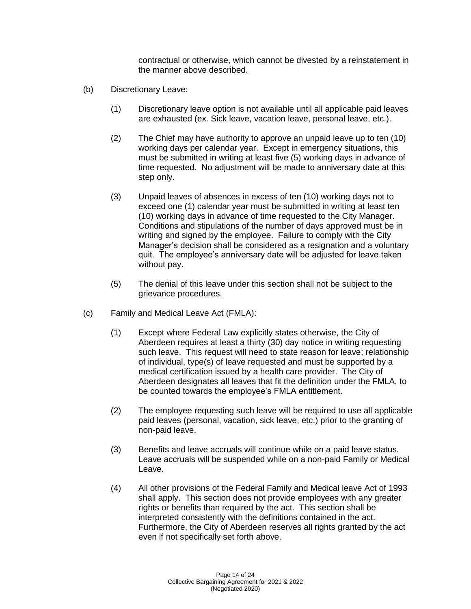contractual or otherwise, which cannot be divested by a reinstatement in the manner above described.

- (b) Discretionary Leave:
	- (1) Discretionary leave option is not available until all applicable paid leaves are exhausted (ex. Sick leave, vacation leave, personal leave, etc.).
	- (2) The Chief may have authority to approve an unpaid leave up to ten (10) working days per calendar year. Except in emergency situations, this must be submitted in writing at least five (5) working days in advance of time requested. No adjustment will be made to anniversary date at this step only.
	- (3) Unpaid leaves of absences in excess of ten (10) working days not to exceed one (1) calendar year must be submitted in writing at least ten (10) working days in advance of time requested to the City Manager. Conditions and stipulations of the number of days approved must be in writing and signed by the employee. Failure to comply with the City Manager's decision shall be considered as a resignation and a voluntary quit. The employee's anniversary date will be adjusted for leave taken without pay.
	- (5) The denial of this leave under this section shall not be subject to the grievance procedures.
- (c) Family and Medical Leave Act (FMLA):
	- (1) Except where Federal Law explicitly states otherwise, the City of Aberdeen requires at least a thirty (30) day notice in writing requesting such leave. This request will need to state reason for leave; relationship of individual, type(s) of leave requested and must be supported by a medical certification issued by a health care provider. The City of Aberdeen designates all leaves that fit the definition under the FMLA, to be counted towards the employee's FMLA entitlement.
	- (2) The employee requesting such leave will be required to use all applicable paid leaves (personal, vacation, sick leave, etc.) prior to the granting of non-paid leave.
	- (3) Benefits and leave accruals will continue while on a paid leave status. Leave accruals will be suspended while on a non-paid Family or Medical Leave.
	- (4) All other provisions of the Federal Family and Medical leave Act of 1993 shall apply. This section does not provide employees with any greater rights or benefits than required by the act. This section shall be interpreted consistently with the definitions contained in the act. Furthermore, the City of Aberdeen reserves all rights granted by the act even if not specifically set forth above.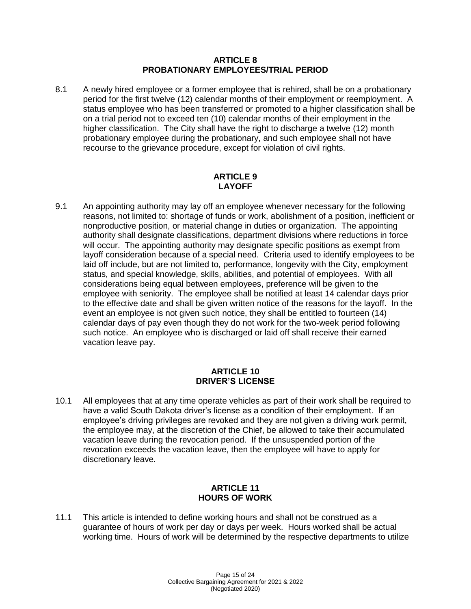#### **ARTICLE 8 PROBATIONARY EMPLOYEES/TRIAL PERIOD**

8.1 A newly hired employee or a former employee that is rehired, shall be on a probationary period for the first twelve (12) calendar months of their employment or reemployment. A status employee who has been transferred or promoted to a higher classification shall be on a trial period not to exceed ten (10) calendar months of their employment in the higher classification. The City shall have the right to discharge a twelve (12) month probationary employee during the probationary, and such employee shall not have recourse to the grievance procedure, except for violation of civil rights.

#### **ARTICLE 9 LAYOFF**

9.1 An appointing authority may lay off an employee whenever necessary for the following reasons, not limited to: shortage of funds or work, abolishment of a position, inefficient or nonproductive position, or material change in duties or organization. The appointing authority shall designate classifications, department divisions where reductions in force will occur. The appointing authority may designate specific positions as exempt from layoff consideration because of a special need. Criteria used to identify employees to be laid off include, but are not limited to, performance, longevity with the City, employment status, and special knowledge, skills, abilities, and potential of employees. With all considerations being equal between employees, preference will be given to the employee with seniority. The employee shall be notified at least 14 calendar days prior to the effective date and shall be given written notice of the reasons for the layoff. In the event an employee is not given such notice, they shall be entitled to fourteen (14) calendar days of pay even though they do not work for the two-week period following such notice. An employee who is discharged or laid off shall receive their earned vacation leave pay.

## **ARTICLE 10 DRIVER'S LICENSE**

10.1 All employees that at any time operate vehicles as part of their work shall be required to have a valid South Dakota driver's license as a condition of their employment. If an employee's driving privileges are revoked and they are not given a driving work permit, the employee may, at the discretion of the Chief, be allowed to take their accumulated vacation leave during the revocation period. If the unsuspended portion of the revocation exceeds the vacation leave, then the employee will have to apply for discretionary leave.

## **ARTICLE 11 HOURS OF WORK**

11.1 This article is intended to define working hours and shall not be construed as a guarantee of hours of work per day or days per week. Hours worked shall be actual working time. Hours of work will be determined by the respective departments to utilize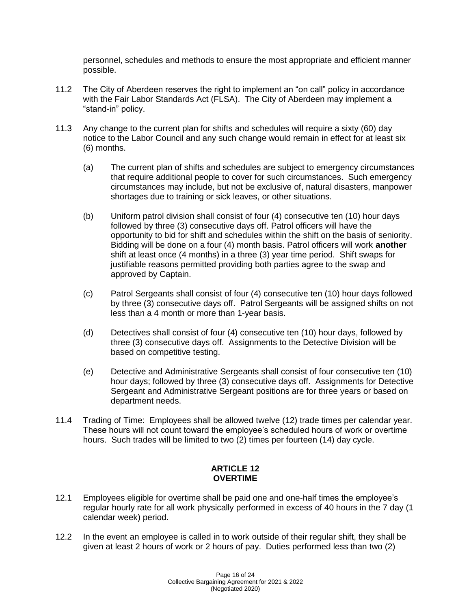personnel, schedules and methods to ensure the most appropriate and efficient manner possible.

- 11.2 The City of Aberdeen reserves the right to implement an "on call" policy in accordance with the Fair Labor Standards Act (FLSA). The City of Aberdeen may implement a "stand-in" policy.
- 11.3 Any change to the current plan for shifts and schedules will require a sixty (60) day notice to the Labor Council and any such change would remain in effect for at least six (6) months.
	- (a) The current plan of shifts and schedules are subject to emergency circumstances that require additional people to cover for such circumstances. Such emergency circumstances may include, but not be exclusive of, natural disasters, manpower shortages due to training or sick leaves, or other situations.
	- (b) Uniform patrol division shall consist of four (4) consecutive ten (10) hour days followed by three (3) consecutive days off. Patrol officers will have the opportunity to bid for shift and schedules within the shift on the basis of seniority. Bidding will be done on a four (4) month basis. Patrol officers will work **another** shift at least once (4 months) in a three (3) year time period. Shift swaps for justifiable reasons permitted providing both parties agree to the swap and approved by Captain.
	- (c) Patrol Sergeants shall consist of four (4) consecutive ten (10) hour days followed by three (3) consecutive days off. Patrol Sergeants will be assigned shifts on not less than a 4 month or more than 1-year basis.
	- (d) Detectives shall consist of four (4) consecutive ten (10) hour days, followed by three (3) consecutive days off. Assignments to the Detective Division will be based on competitive testing.
	- (e) Detective and Administrative Sergeants shall consist of four consecutive ten (10) hour days; followed by three (3) consecutive days off. Assignments for Detective Sergeant and Administrative Sergeant positions are for three years or based on department needs.
- 11.4 Trading of Time: Employees shall be allowed twelve (12) trade times per calendar year. These hours will not count toward the employee's scheduled hours of work or overtime hours. Such trades will be limited to two (2) times per fourteen (14) day cycle.

#### **ARTICLE 12 OVERTIME**

- 12.1 Employees eligible for overtime shall be paid one and one-half times the employee's regular hourly rate for all work physically performed in excess of 40 hours in the 7 day (1 calendar week) period.
- 12.2 In the event an employee is called in to work outside of their regular shift, they shall be given at least 2 hours of work or 2 hours of pay. Duties performed less than two (2)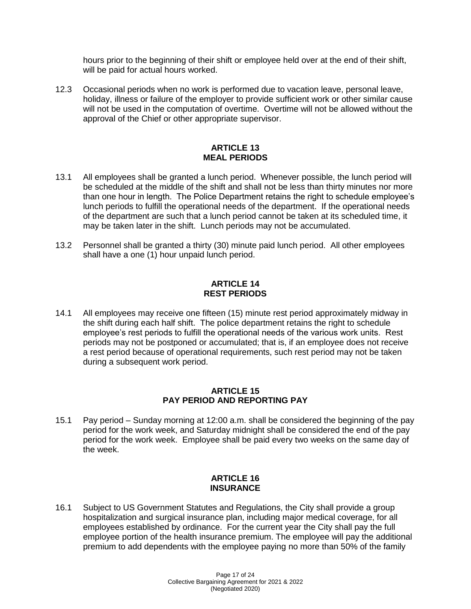hours prior to the beginning of their shift or employee held over at the end of their shift, will be paid for actual hours worked.

12.3 Occasional periods when no work is performed due to vacation leave, personal leave, holiday, illness or failure of the employer to provide sufficient work or other similar cause will not be used in the computation of overtime. Overtime will not be allowed without the approval of the Chief or other appropriate supervisor.

### **ARTICLE 13 MEAL PERIODS**

- 13.1 All employees shall be granted a lunch period. Whenever possible, the lunch period will be scheduled at the middle of the shift and shall not be less than thirty minutes nor more than one hour in length. The Police Department retains the right to schedule employee's lunch periods to fulfill the operational needs of the department. If the operational needs of the department are such that a lunch period cannot be taken at its scheduled time, it may be taken later in the shift. Lunch periods may not be accumulated.
- 13.2 Personnel shall be granted a thirty (30) minute paid lunch period. All other employees shall have a one (1) hour unpaid lunch period.

## **ARTICLE 14 REST PERIODS**

14.1 All employees may receive one fifteen (15) minute rest period approximately midway in the shift during each half shift. The police department retains the right to schedule employee's rest periods to fulfill the operational needs of the various work units. Rest periods may not be postponed or accumulated; that is, if an employee does not receive a rest period because of operational requirements, such rest period may not be taken during a subsequent work period.

#### **ARTICLE 15 PAY PERIOD AND REPORTING PAY**

15.1 Pay period – Sunday morning at 12:00 a.m. shall be considered the beginning of the pay period for the work week, and Saturday midnight shall be considered the end of the pay period for the work week. Employee shall be paid every two weeks on the same day of the week.

#### **ARTICLE 16 INSURANCE**

16.1 Subject to US Government Statutes and Regulations, the City shall provide a group hospitalization and surgical insurance plan, including major medical coverage, for all employees established by ordinance. For the current year the City shall pay the full employee portion of the health insurance premium. The employee will pay the additional premium to add dependents with the employee paying no more than 50% of the family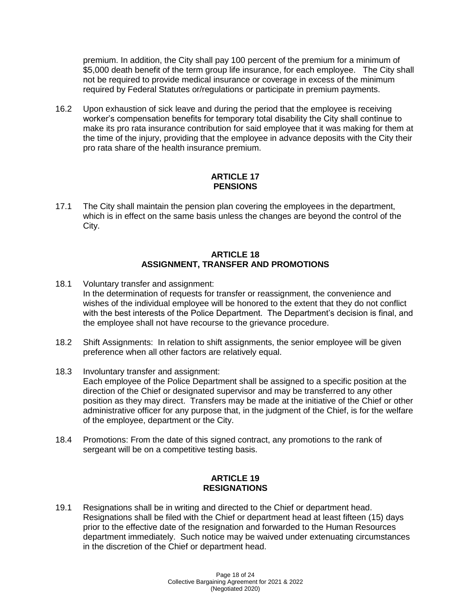premium. In addition, the City shall pay 100 percent of the premium for a minimum of \$5,000 death benefit of the term group life insurance, for each employee. The City shall not be required to provide medical insurance or coverage in excess of the minimum required by Federal Statutes or/regulations or participate in premium payments.

16.2 Upon exhaustion of sick leave and during the period that the employee is receiving worker's compensation benefits for temporary total disability the City shall continue to make its pro rata insurance contribution for said employee that it was making for them at the time of the injury, providing that the employee in advance deposits with the City their pro rata share of the health insurance premium.

## **ARTICLE 17 PENSIONS**

17.1 The City shall maintain the pension plan covering the employees in the department, which is in effect on the same basis unless the changes are beyond the control of the City.

### **ARTICLE 18 ASSIGNMENT, TRANSFER AND PROMOTIONS**

- 18.1 Voluntary transfer and assignment: In the determination of requests for transfer or reassignment, the convenience and wishes of the individual employee will be honored to the extent that they do not conflict with the best interests of the Police Department. The Department's decision is final, and the employee shall not have recourse to the grievance procedure.
- 18.2 Shift Assignments: In relation to shift assignments, the senior employee will be given preference when all other factors are relatively equal.
- 18.3 Involuntary transfer and assignment: Each employee of the Police Department shall be assigned to a specific position at the direction of the Chief or designated supervisor and may be transferred to any other position as they may direct. Transfers may be made at the initiative of the Chief or other administrative officer for any purpose that, in the judgment of the Chief, is for the welfare of the employee, department or the City.
- 18.4 Promotions: From the date of this signed contract, any promotions to the rank of sergeant will be on a competitive testing basis.

## **ARTICLE 19 RESIGNATIONS**

19.1 Resignations shall be in writing and directed to the Chief or department head. Resignations shall be filed with the Chief or department head at least fifteen (15) days prior to the effective date of the resignation and forwarded to the Human Resources department immediately. Such notice may be waived under extenuating circumstances in the discretion of the Chief or department head.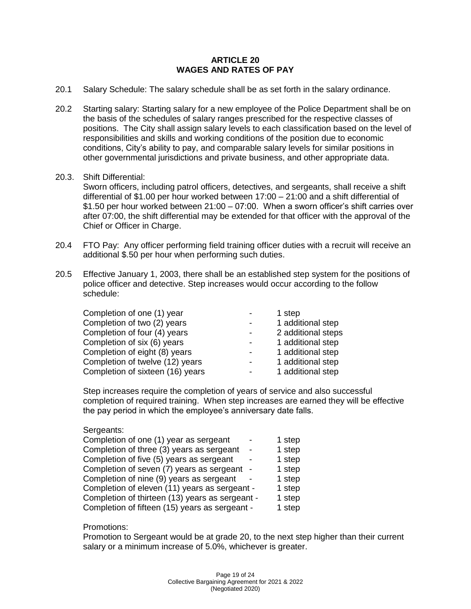#### **ARTICLE 20 WAGES AND RATES OF PAY**

- 20.1 Salary Schedule: The salary schedule shall be as set forth in the salary ordinance.
- 20.2 Starting salary: Starting salary for a new employee of the Police Department shall be on the basis of the schedules of salary ranges prescribed for the respective classes of positions. The City shall assign salary levels to each classification based on the level of responsibilities and skills and working conditions of the position due to economic conditions, City's ability to pay, and comparable salary levels for similar positions in other governmental jurisdictions and private business, and other appropriate data.

#### 20.3. Shift Differential:

Sworn officers, including patrol officers, detectives, and sergeants, shall receive a shift differential of \$1.00 per hour worked between 17:00 – 21:00 and a shift differential of \$1.50 per hour worked between 21:00 – 07:00. When a sworn officer's shift carries over after 07:00, the shift differential may be extended for that officer with the approval of the Chief or Officer in Charge.

- 20.4 FTO Pay: Any officer performing field training officer duties with a recruit will receive an additional \$.50 per hour when performing such duties.
- 20.5 Effective January 1, 2003, there shall be an established step system for the positions of police officer and detective. Step increases would occur according to the follow schedule:

| Completion of one (1) year       |   | 1 step             |
|----------------------------------|---|--------------------|
| Completion of two (2) years      | - | 1 additional step  |
| Completion of four (4) years     | - | 2 additional steps |
| Completion of six (6) years      | - | 1 additional step  |
| Completion of eight (8) years    |   | 1 additional step  |
| Completion of twelve (12) years  | - | 1 additional step  |
| Completion of sixteen (16) years |   | 1 additional step  |

Step increases require the completion of years of service and also successful completion of required training. When step increases are earned they will be effective the pay period in which the employee's anniversary date falls.

#### Sergeants:

| Completion of one (1) year as sergeant          |            | 1 step |
|-------------------------------------------------|------------|--------|
| Completion of three (3) years as sergeant       |            | 1 step |
| Completion of five (5) years as sergeant        |            | 1 step |
| Completion of seven (7) years as sergeant       | $\sim$ $-$ | 1 step |
| Completion of nine (9) years as sergeant        |            | 1 step |
| Completion of eleven (11) years as sergeant -   |            | 1 step |
| Completion of thirteen (13) years as sergeant - |            | 1 step |
| Completion of fifteen (15) years as sergeant -  |            | 1 step |

#### Promotions:

Promotion to Sergeant would be at grade 20, to the next step higher than their current salary or a minimum increase of 5.0%, whichever is greater.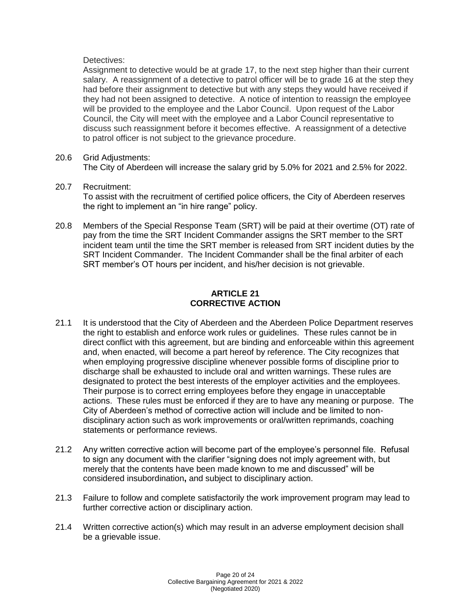## Detectives:

Assignment to detective would be at grade 17, to the next step higher than their current salary. A reassignment of a detective to patrol officer will be to grade 16 at the step they had before their assignment to detective but with any steps they would have received if they had not been assigned to detective. A notice of intention to reassign the employee will be provided to the employee and the Labor Council. Upon request of the Labor Council, the City will meet with the employee and a Labor Council representative to discuss such reassignment before it becomes effective. A reassignment of a detective to patrol officer is not subject to the grievance procedure.

#### 20.6 Grid Adjustments:

The City of Aberdeen will increase the salary grid by 5.0% for 2021 and 2.5% for 2022.

- 20.7 Recruitment: To assist with the recruitment of certified police officers, the City of Aberdeen reserves the right to implement an "in hire range" policy.
- 20.8 Members of the Special Response Team (SRT) will be paid at their overtime (OT) rate of pay from the time the SRT Incident Commander assigns the SRT member to the SRT incident team until the time the SRT member is released from SRT incident duties by the SRT Incident Commander. The Incident Commander shall be the final arbiter of each SRT member's OT hours per incident, and his/her decision is not grievable.

## **ARTICLE 21 CORRECTIVE ACTION**

- 21.1 It is understood that the City of Aberdeen and the Aberdeen Police Department reserves the right to establish and enforce work rules or guidelines. These rules cannot be in direct conflict with this agreement, but are binding and enforceable within this agreement and, when enacted, will become a part hereof by reference. The City recognizes that when employing progressive discipline whenever possible forms of discipline prior to discharge shall be exhausted to include oral and written warnings. These rules are designated to protect the best interests of the employer activities and the employees. Their purpose is to correct erring employees before they engage in unacceptable actions. These rules must be enforced if they are to have any meaning or purpose. The City of Aberdeen's method of corrective action will include and be limited to nondisciplinary action such as work improvements or oral/written reprimands, coaching statements or performance reviews.
- 21.2 Any written corrective action will become part of the employee's personnel file. Refusal to sign any document with the clarifier "signing does not imply agreement with, but merely that the contents have been made known to me and discussed" will be considered insubordination**,** and subject to disciplinary action.
- 21.3 Failure to follow and complete satisfactorily the work improvement program may lead to further corrective action or disciplinary action.
- 21.4 Written corrective action(s) which may result in an adverse employment decision shall be a grievable issue.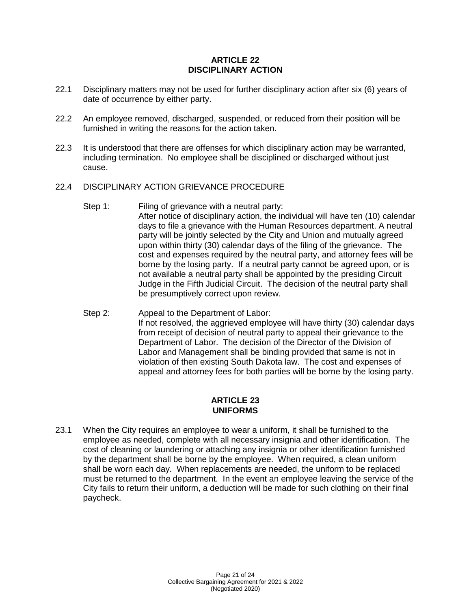## **ARTICLE 22 DISCIPLINARY ACTION**

- 22.1 Disciplinary matters may not be used for further disciplinary action after six (6) years of date of occurrence by either party.
- 22.2 An employee removed, discharged, suspended, or reduced from their position will be furnished in writing the reasons for the action taken.
- 22.3 It is understood that there are offenses for which disciplinary action may be warranted, including termination. No employee shall be disciplined or discharged without just cause.

#### 22.4 DISCIPLINARY ACTION GRIEVANCE PROCEDURE

- Step 1: Filing of grievance with a neutral party: After notice of disciplinary action, the individual will have ten (10) calendar days to file a grievance with the Human Resources department. A neutral party will be jointly selected by the City and Union and mutually agreed upon within thirty (30) calendar days of the filing of the grievance. The cost and expenses required by the neutral party, and attorney fees will be borne by the losing party. If a neutral party cannot be agreed upon, or is not available a neutral party shall be appointed by the presiding Circuit Judge in the Fifth Judicial Circuit. The decision of the neutral party shall be presumptively correct upon review.
- Step 2: Appeal to the Department of Labor: If not resolved, the aggrieved employee will have thirty (30) calendar days from receipt of decision of neutral party to appeal their grievance to the Department of Labor. The decision of the Director of the Division of Labor and Management shall be binding provided that same is not in violation of then existing South Dakota law. The cost and expenses of appeal and attorney fees for both parties will be borne by the losing party.

#### **ARTICLE 23 UNIFORMS**

23.1 When the City requires an employee to wear a uniform, it shall be furnished to the employee as needed, complete with all necessary insignia and other identification. The cost of cleaning or laundering or attaching any insignia or other identification furnished by the department shall be borne by the employee. When required, a clean uniform shall be worn each day. When replacements are needed, the uniform to be replaced must be returned to the department. In the event an employee leaving the service of the City fails to return their uniform, a deduction will be made for such clothing on their final paycheck.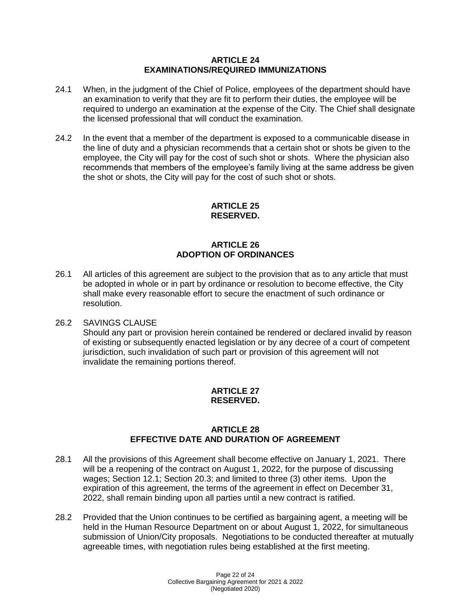#### **ARTICLE 24 EXAMINATIONS/REQUIRED IMMUNIZATIONS**

- 24.1 When, in the judgment of the Chief of Police, employees of the department should have an examination to verify that they are fit to perform their duties, the employee will be required to undergo an examination at the expense of the City. The Chief shall designate the licensed professional that will conduct the examination.
- 24.2 In the event that a member of the department is exposed to a communicable disease in the line of duty and a physician recommends that a certain shot or shots be given to the employee, the City will pay for the cost of such shot or shots. Where the physician also recommends that members of the employee's family living at the same address be given the shot or shots, the City will pay for the cost of such shot or shots.

# **ARTICLE 25 RESERVED.**

# **ARTICLE 26 ADOPTION OF ORDINANCES**

26.1 All articles of this agreement are subject to the provision that as to any article that must be adopted in whole or in part by ordinance or resolution to become effective, the City shall make every reasonable effort to secure the enactment of such ordinance or resolution.

## 26.2 SAVINGS CLAUSE

Should any part or provision herein contained be rendered or declared invalid by reason of existing or subsequently enacted legislation or by any decree of a court of competent jurisdiction, such invalidation of such part or provision of this agreement will not invalidate the remaining portions thereof.

## **ARTICLE 27 RESERVED.**

## **ARTICLE 28 EFFECTIVE DATE AND DURATION OF AGREEMENT**

- 28.1 All the provisions of this Agreement shall become effective on January 1, 2021. There will be a reopening of the contract on August 1, 2022, for the purpose of discussing wages; Section 12.1; Section 20.3; and limited to three (3) other items. Upon the expiration of this agreement, the terms of the agreement in effect on December 31, 2022, shall remain binding upon all parties until a new contract is ratified.
- 28.2 Provided that the Union continues to be certified as bargaining agent, a meeting will be held in the Human Resource Department on or about August 1, 2022, for simultaneous submission of Union/City proposals. Negotiations to be conducted thereafter at mutually agreeable times, with negotiation rules being established at the first meeting.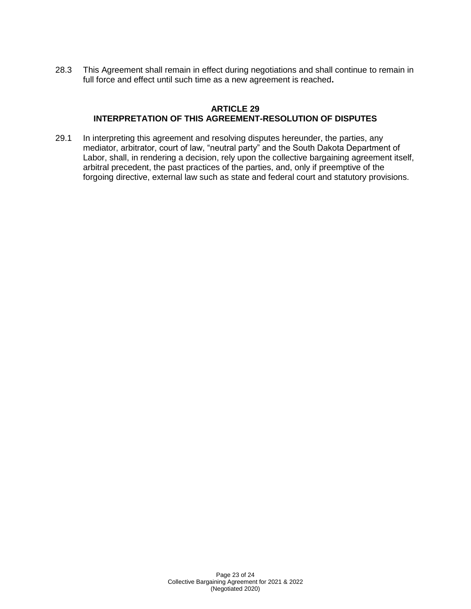28.3 This Agreement shall remain in effect during negotiations and shall continue to remain in full force and effect until such time as a new agreement is reached**.**

## **ARTICLE 29 INTERPRETATION OF THIS AGREEMENT-RESOLUTION OF DISPUTES**

29.1 In interpreting this agreement and resolving disputes hereunder, the parties, any mediator, arbitrator, court of law, "neutral party" and the South Dakota Department of Labor, shall, in rendering a decision, rely upon the collective bargaining agreement itself, arbitral precedent, the past practices of the parties, and, only if preemptive of the forgoing directive, external law such as state and federal court and statutory provisions.